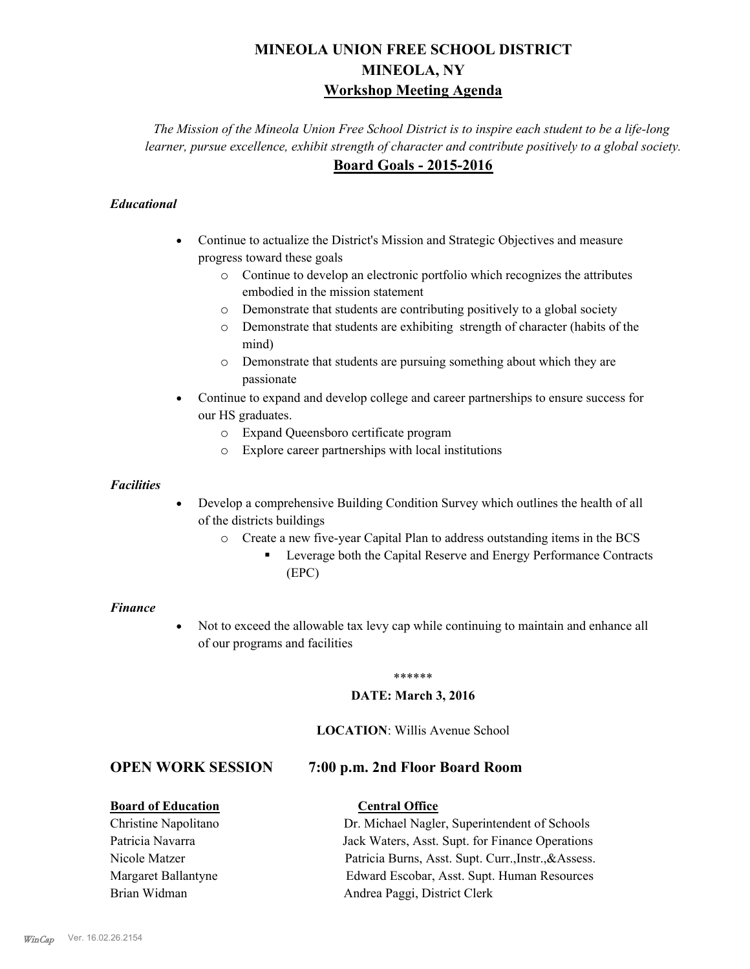## **MINEOLA UNION FREE SCHOOL DISTRICT MINEOLA, NY Workshop Meeting Agenda**

*The Mission of the Mineola Union Free School District is to inspire each student to be a life-long learner, pursue excellence, exhibit strength of character and contribute positively to a global society.* **Board Goals - 2015-2016**

### *Educational*

- · Continue to actualize the District's Mission and Strategic Objectives and measure progress toward these goals
	- o Continue to develop an electronic portfolio which recognizes the attributes embodied in the mission statement
	- o Demonstrate that students are contributing positively to a global society
	- o Demonstrate that students are exhibiting strength of character (habits of the mind)
	- o Demonstrate that students are pursuing something about which they are passionate
- Continue to expand and develop college and career partnerships to ensure success for our HS graduates.
	- o Expand Queensboro certificate program
	- o Explore career partnerships with local institutions

### *Facilities*

- Develop a comprehensive Building Condition Survey which outlines the health of all of the districts buildings
	- o Create a new five-year Capital Plan to address outstanding items in the BCS
		- § Leverage both the Capital Reserve and Energy Performance Contracts (EPC)

### *Finance*

• Not to exceed the allowable tax levy cap while continuing to maintain and enhance all of our programs and facilities

### \*\*\*\*\*\*

### **DATE: March 3, 2016**

### **LOCATION**: Willis Avenue School

### **OPEN WORK SESSION 7:00 p.m. 2nd Floor Board Room**

### **Board of Education Central Office**

Christine Napolitano Dr. Michael Nagler, Superintendent of Schools Patricia Navarra Jack Waters, Asst. Supt. for Finance Operations Nicole Matzer Patricia Burns, Asst. Supt. Curr.,Instr.,&Assess. Margaret Ballantyne Edward Escobar, Asst. Supt. Human Resources Brian Widman **Andrea Paggi, District Clerk**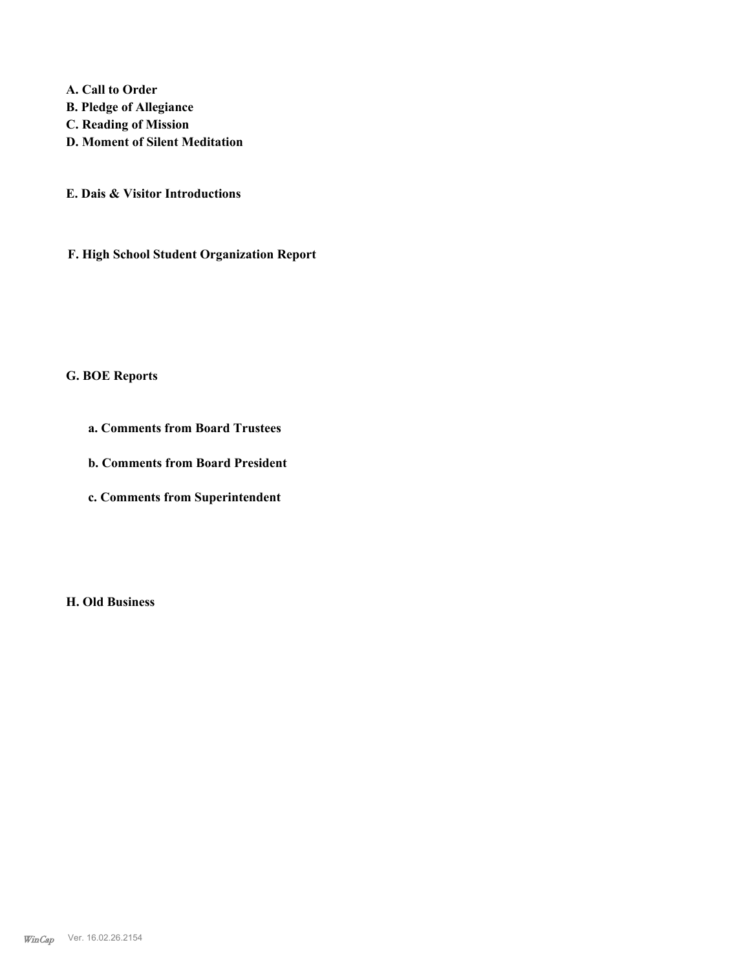**A. Call to Order B. Pledge of Allegiance C. Reading of Mission D. Moment of Silent Meditation**

**E. Dais & Visitor Introductions**

**F. High School Student Organization Report**

## **G. BOE Reports**

**a. Comments from Board Trustees**

**b. Comments from Board President**

**c. Comments from Superintendent**

**H. Old Business**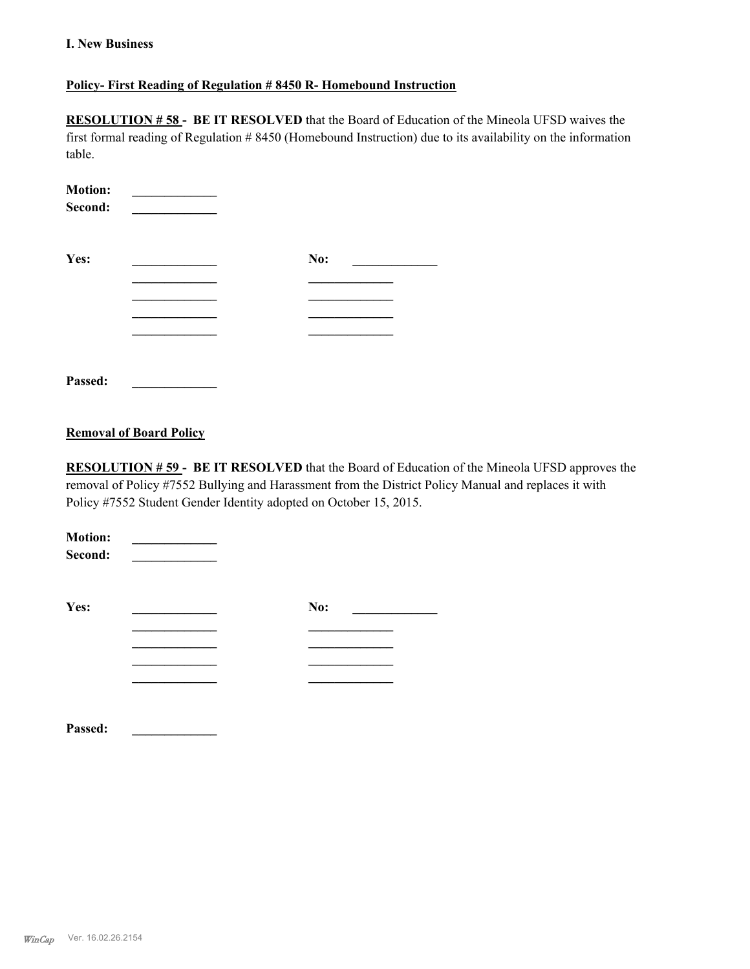### **I. New Business**

### **Policy- First Reading of Regulation # 8450 R- Homebound Instruction**

**RESOLUTION # 58 - BE IT RESOLVED** that the Board of Education of the Mineola UFSD waives the first formal reading of Regulation # 8450 (Homebound Instruction) due to its availability on the information table.

| <b>Motion:</b><br>Second: |     |  |
|---------------------------|-----|--|
| Yes:                      | No: |  |
|                           |     |  |
|                           |     |  |
|                           |     |  |
|                           |     |  |
|                           |     |  |
|                           |     |  |

# **Removal of Board Policy**

**Passed: \_\_\_\_\_\_\_\_\_\_\_\_\_**

**RESOLUTION # 59 - BE IT RESOLVED** that the Board of Education of the Mineola UFSD approves the removal of Policy #7552 Bullying and Harassment from the District Policy Manual and replaces it with Policy #7552 Student Gender Identity adopted on October 15, 2015.

| <b>Motion:</b><br>Second: |     |
|---------------------------|-----|
| Yes:                      | No: |
|                           |     |
|                           |     |
|                           |     |
|                           |     |
| Passed:                   |     |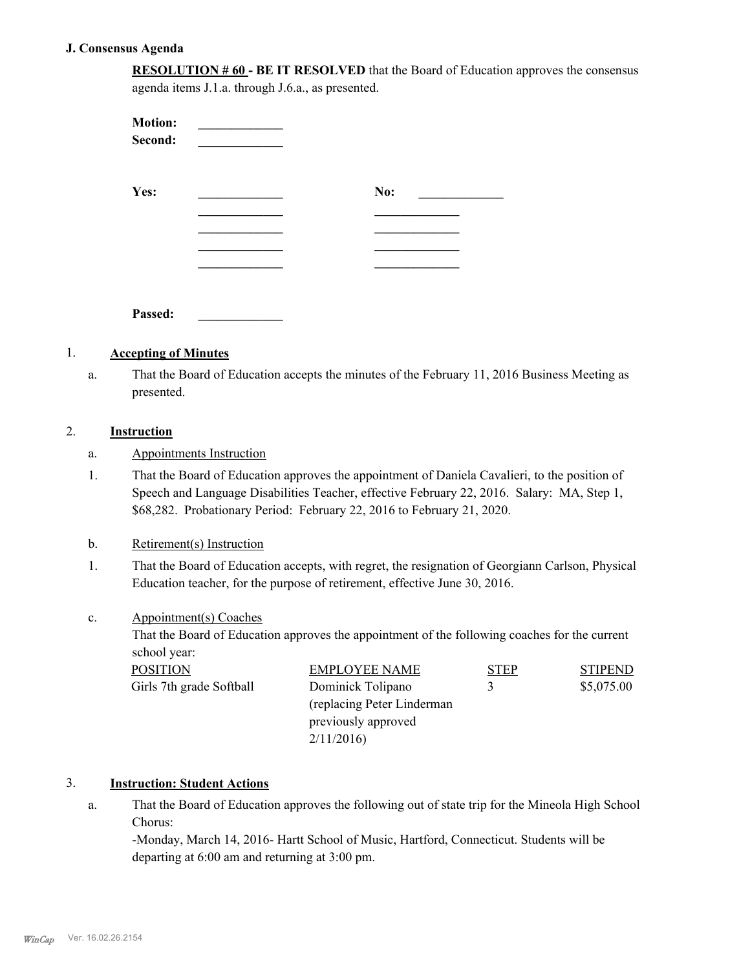### **J. Consensus Agenda**

**RESOLUTION # 60 - BE IT RESOLVED** that the Board of Education approves the consensus agenda items J.1.a. through J.6.a., as presented.

| <b>Motion:</b><br>Second: |     |  |
|---------------------------|-----|--|
| Yes:                      | No: |  |
|                           |     |  |
|                           |     |  |
|                           |     |  |
|                           |     |  |
| Passed:                   |     |  |

### 1. **Accepting of Minutes**

That the Board of Education accepts the minutes of the February 11, 2016 Business Meeting as presented. a.

### 2. **Instruction**

- a. Appointments Instruction
- That the Board of Education approves the appointment of Daniela Cavalieri, to the position of Speech and Language Disabilities Teacher, effective February 22, 2016. Salary: MA, Step 1, \$68,282. Probationary Period: February 22, 2016 to February 21, 2020. 1.

### b. Retirement(s) Instruction

That the Board of Education accepts, with regret, the resignation of Georgiann Carlson, Physical Education teacher, for the purpose of retirement, effective June 30, 2016. 1.

### Appointment(s) Coaches c.

That the Board of Education approves the appointment of the following coaches for the current school year:

| <b>POSITION</b>          | <b>EMPLOYEE NAME</b>        | <b>STEP</b> | <b>STIPEND</b> |
|--------------------------|-----------------------------|-------------|----------------|
| Girls 7th grade Softball | Dominick Tolipano           | 3           | \$5,075.00     |
|                          | (replacing Peter Linderman) |             |                |
|                          | previously approved         |             |                |
|                          | 2/11/2016                   |             |                |

### 3. **Instruction: Student Actions**

That the Board of Education approves the following out of state trip for the Mineola High School Chorus: a.

-Monday, March 14, 2016- Hartt School of Music, Hartford, Connecticut. Students will be departing at 6:00 am and returning at 3:00 pm.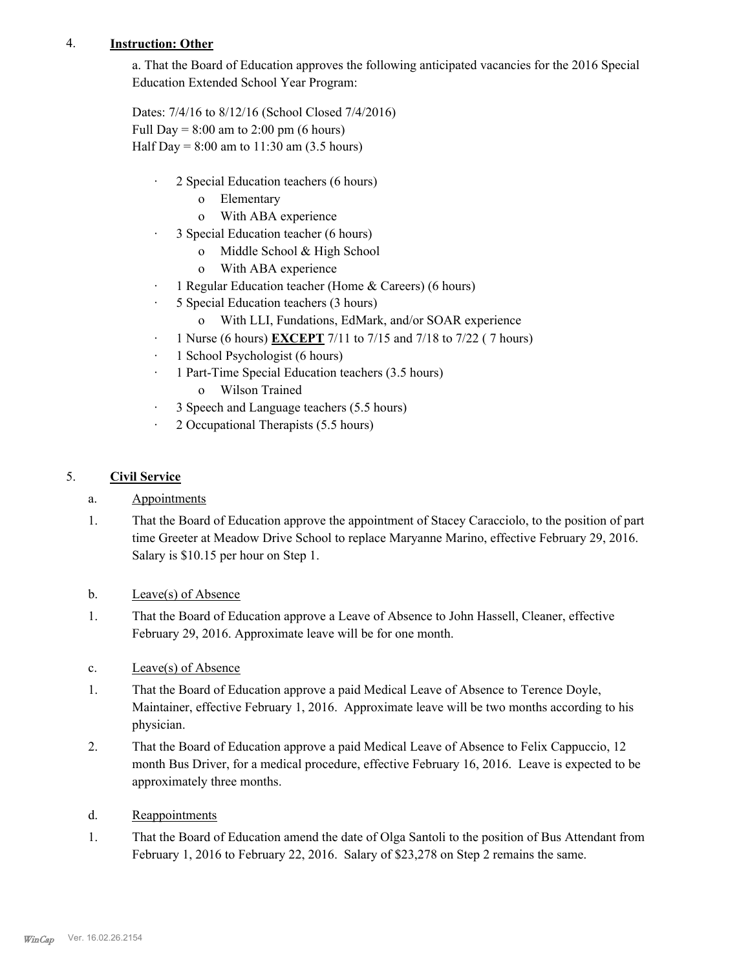### 4. **Instruction: Other**

a. That the Board of Education approves the following anticipated vacancies for the 2016 Special Education Extended School Year Program:

Dates: 7/4/16 to 8/12/16 (School Closed 7/4/2016) Full Day =  $8:00$  am to  $2:00$  pm (6 hours) Half Day =  $8:00$  am to  $11:30$  am  $(3.5$  hours)

- · 2 Special Education teachers (6 hours)
	- o Elementary
	- o With ABA experience
- · 3 Special Education teacher (6 hours)
	- o Middle School & High School
	- o With ABA experience
- · 1 Regular Education teacher (Home & Careers) (6 hours)
- · 5 Special Education teachers (3 hours)
	- o With LLI, Fundations, EdMark, and/or SOAR experience
- · 1 Nurse (6 hours) **EXCEPT** 7/11 to 7/15 and 7/18 to 7/22 ( 7 hours)
- · 1 School Psychologist (6 hours)
- · 1 Part-Time Special Education teachers (3.5 hours)
	- o Wilson Trained
- · 3 Speech and Language teachers (5.5 hours)
- · 2 Occupational Therapists (5.5 hours)

### 5. **Civil Service**

- a. Appointments
- That the Board of Education approve the appointment of Stacey Caracciolo, to the position of part time Greeter at Meadow Drive School to replace Maryanne Marino, effective February 29, 2016. Salary is \$10.15 per hour on Step 1. 1.
- b. Leave(s) of Absence
- That the Board of Education approve a Leave of Absence to John Hassell, Cleaner, effective February 29, 2016. Approximate leave will be for one month. 1.
- c. Leave(s) of Absence
- That the Board of Education approve a paid Medical Leave of Absence to Terence Doyle, Maintainer, effective February 1, 2016. Approximate leave will be two months according to his physician. 1.
- That the Board of Education approve a paid Medical Leave of Absence to Felix Cappuccio, 12 month Bus Driver, for a medical procedure, effective February 16, 2016. Leave is expected to be approximately three months. 2.
- d. Reappointments
- That the Board of Education amend the date of Olga Santoli to the position of Bus Attendant from February 1, 2016 to February 22, 2016. Salary of \$23,278 on Step 2 remains the same. 1.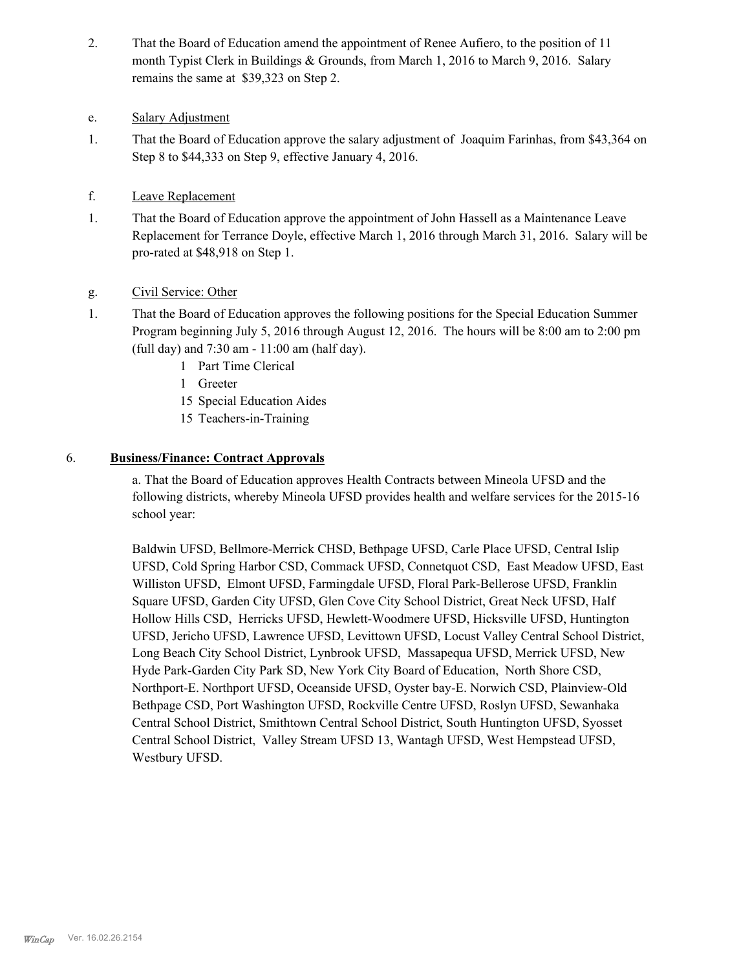That the Board of Education amend the appointment of Renee Aufiero, to the position of 11 month Typist Clerk in Buildings & Grounds, from March 1, 2016 to March 9, 2016. Salary remains the same at \$39,323 on Step 2. 2.

### e. Salary Adjustment

- That the Board of Education approve the salary adjustment of Joaquim Farinhas, from \$43,364 on Step 8 to \$44,333 on Step 9, effective January 4, 2016. 1.
- f. Leave Replacement
- That the Board of Education approve the appointment of John Hassell as a Maintenance Leave Replacement for Terrance Doyle, effective March 1, 2016 through March 31, 2016. Salary will be pro-rated at \$48,918 on Step 1. 1.
- g. Civil Service: Other
- That the Board of Education approves the following positions for the Special Education Summer Program beginning July 5, 2016 through August 12, 2016. The hours will be 8:00 am to 2:00 pm (full day) and 7:30 am - 11:00 am (half day). 1.
	- 1 Part Time Clerical
	- 1 Greeter
	- 15 Special Education Aides
	- 15 Teachers-in-Training

### 6. **Business/Finance: Contract Approvals**

a. That the Board of Education approves Health Contracts between Mineola UFSD and the following districts, whereby Mineola UFSD provides health and welfare services for the 2015-16 school year:

Baldwin UFSD, Bellmore-Merrick CHSD, Bethpage UFSD, Carle Place UFSD, Central Islip UFSD, Cold Spring Harbor CSD, Commack UFSD, Connetquot CSD, East Meadow UFSD, East Williston UFSD, Elmont UFSD, Farmingdale UFSD, Floral Park-Bellerose UFSD, Franklin Square UFSD, Garden City UFSD, Glen Cove City School District, Great Neck UFSD, Half Hollow Hills CSD, Herricks UFSD, Hewlett-Woodmere UFSD, Hicksville UFSD, Huntington UFSD, Jericho UFSD, Lawrence UFSD, Levittown UFSD, Locust Valley Central School District, Long Beach City School District, Lynbrook UFSD, Massapequa UFSD, Merrick UFSD, New Hyde Park-Garden City Park SD, New York City Board of Education, North Shore CSD, Northport-E. Northport UFSD, Oceanside UFSD, Oyster bay-E. Norwich CSD, Plainview-Old Bethpage CSD, Port Washington UFSD, Rockville Centre UFSD, Roslyn UFSD, Sewanhaka Central School District, Smithtown Central School District, South Huntington UFSD, Syosset Central School District, Valley Stream UFSD 13, Wantagh UFSD, West Hempstead UFSD, Westbury UFSD.